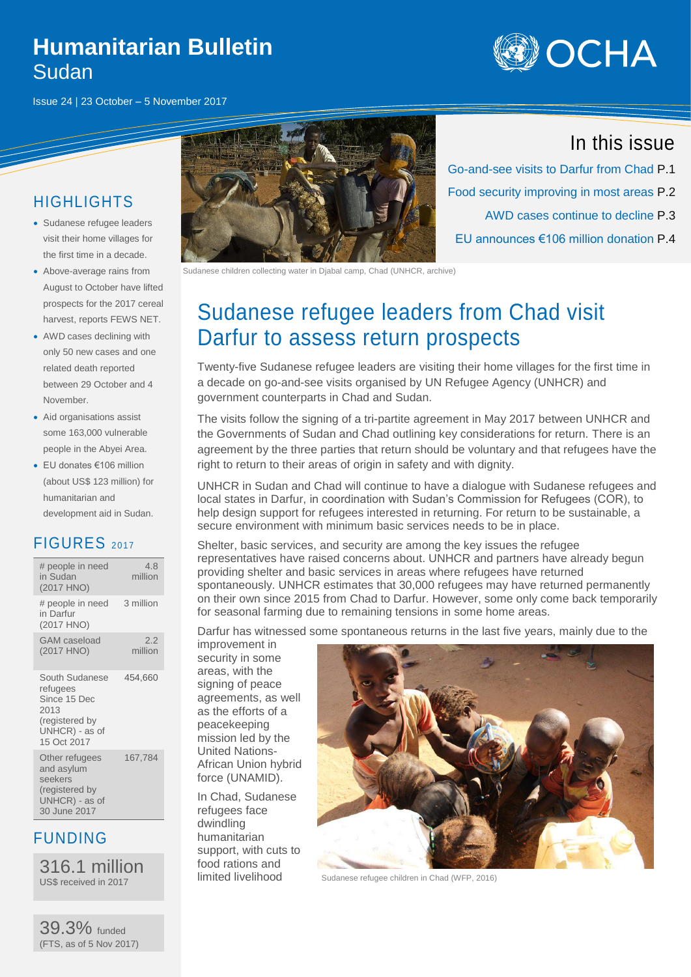#### **Humanitarian Bulletin** Sudan

Issue 24 | 23 October – 5 November 2017



#### **HIGHLIGHTS**

- Sudanese refugee leaders visit their home villages for the first time in a decade.
- Above-average rains from August to October have lifted prospects for the 2017 cereal harvest, reports FEWS NET.
- AWD cases declining with only 50 new cases and one related death reported between 29 October and 4 November.
- Aid organisations assist some 163,000 vulnerable people in the Abyei Area.
- EU donates €106 million (about US\$ 123 million) for humanitarian and development aid in Sudan.

#### FIGURES <sup>2017</sup>

| # people in need<br>in Sudan<br>(2017 HNO)                                                            | 4.8<br>million |
|-------------------------------------------------------------------------------------------------------|----------------|
| # people in need<br>in Darfur<br>(2017 HNO)                                                           | 3 million      |
| GAM caseload<br>(2017 HNO)                                                                            | 2.2<br>million |
| South Sudanese<br>refugees<br>Since 15 Dec<br>2013<br>(registered by<br>UNHCR) - as of<br>15 Oct 2017 | 454,660        |
| Other refugees<br>and asylum<br>seekers<br>(registered by<br>UNHCR) - as of<br>30 June 2017           | 167,784        |

#### FUNDING

316.1 million US\$ received in 2017

39.3% funded (FTS, as of 5 Nov 2017)



Sudanese children collecting water in Djabal camp, Chad (UNHCR, archive)

# Sudanese refugee leaders from Chad visit Darfur to assess return prospects

Twenty-five Sudanese refugee leaders are visiting their home villages for the first time in a decade on go-and-see visits organised by UN Refugee Agency (UNHCR) and government counterparts in Chad and Sudan.

The visits follow the signing of a tri-partite agreement in May 2017 between UNHCR and the Governments of Sudan and Chad outlining key considerations for return. There is an agreement by the three parties that return should be voluntary and that refugees have the right to return to their areas of origin in safety and with dignity.

UNHCR in Sudan and Chad will continue to have a dialogue with Sudanese refugees and local states in Darfur, in coordination with Sudan's Commission for Refugees (COR), to help design support for refugees interested in returning. For return to be sustainable, a secure environment with minimum basic services needs to be in place.

Shelter, basic services, and security are among the key issues the refugee representatives have raised concerns about. UNHCR and partners have already begun providing shelter and basic services in areas where refugees have returned spontaneously. UNHCR estimates that 30,000 refugees may have returned permanently on their own since 2015 from Chad to Darfur. However, some only come back temporarily for seasonal farming due to remaining tensions in some home areas.

Darfur has witnessed some spontaneous returns in the last five years, mainly due to the

improvement in security in some areas, with the signing of peace agreements, as well as the efforts of a peacekeeping mission led by the United Nations-African Union hybrid force (UNAMID).

In Chad, Sudanese refugees face dwindling humanitarian support, with cuts to food rations and limited livelihood



Sudanese refugee children in Chad (WFP, 2016)

#### In this issue

Go-and-see visits to Darfur from Chad P.1 Food security improving in most areas P.2 AWD cases continue to decline P.3 EU announces €106 million donation P.4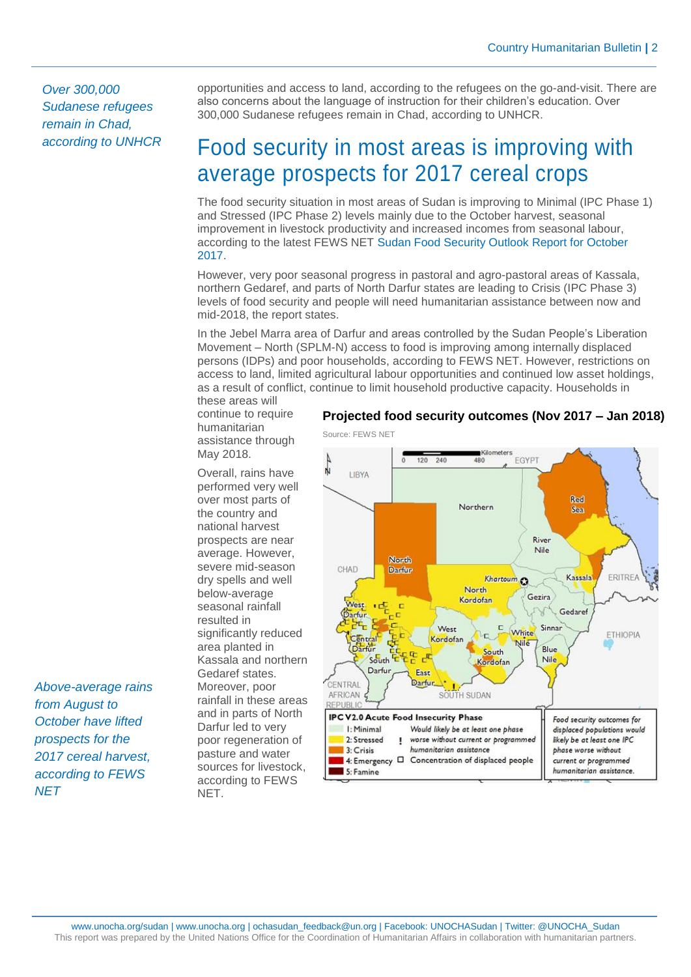*Over 300,000 Sudanese refugees remain in Chad, according to UNHCR*

opportunities and access to land, according to the refugees on the go-and-visit. There are also concerns about the language of instruction for their children's education. Over 300,000 Sudanese refugees remain in Chad, according to UNHCR.

## Food security in most areas is improving with average prospects for 2017 cereal crops

The food security situation in most areas of Sudan is improving to Minimal (IPC Phase 1) and Stressed (IPC Phase 2) levels mainly due to the October harvest, seasonal improvement in livestock productivity and increased incomes from seasonal labour, according to the latest FEWS NET [Sudan Food Security Outlook Report for October](https://reliefweb.int/sites/reliefweb.int/files/resources/SD_OL_2017.10_final.pdf)  [2017.](https://reliefweb.int/sites/reliefweb.int/files/resources/SD_OL_2017.10_final.pdf)

However, very poor seasonal progress in pastoral and agro-pastoral areas of Kassala, northern Gedaref, and parts of North Darfur states are leading to Crisis (IPC Phase 3) levels of food security and people will need humanitarian assistance between now and mid-2018, the report states.

In the Jebel Marra area of Darfur and areas controlled by the Sudan People's Liberation Movement – North (SPLM-N) access to food is improving among internally displaced persons (IDPs) and poor households, according to FEWS NET. However, restrictions on access to land, limited agricultural labour opportunities and continued low asset holdings, as a result of conflict, continue to limit household productive capacity. Households in these areas will

continue to require humanitarian assistance through May 2018.

Overall, rains have performed very well over most parts of the country and national harvest prospects are near average. However, severe mid-season dry spells and well below-average seasonal rainfall resulted in significantly reduced area planted in Kassala and northern Gedaref states. Moreover, poor rainfall in these areas and in parts of North Darfur led to very poor regeneration of pasture and water sources for livestock, according to FEWS **NFT.** 



**Projected food security outcomes (Nov 2017 – Jan 2018)**

*Above-average rains from August to October have lifted prospects for the 2017 cereal harvest, according to FEWS NET*

#### Source: FEWS NET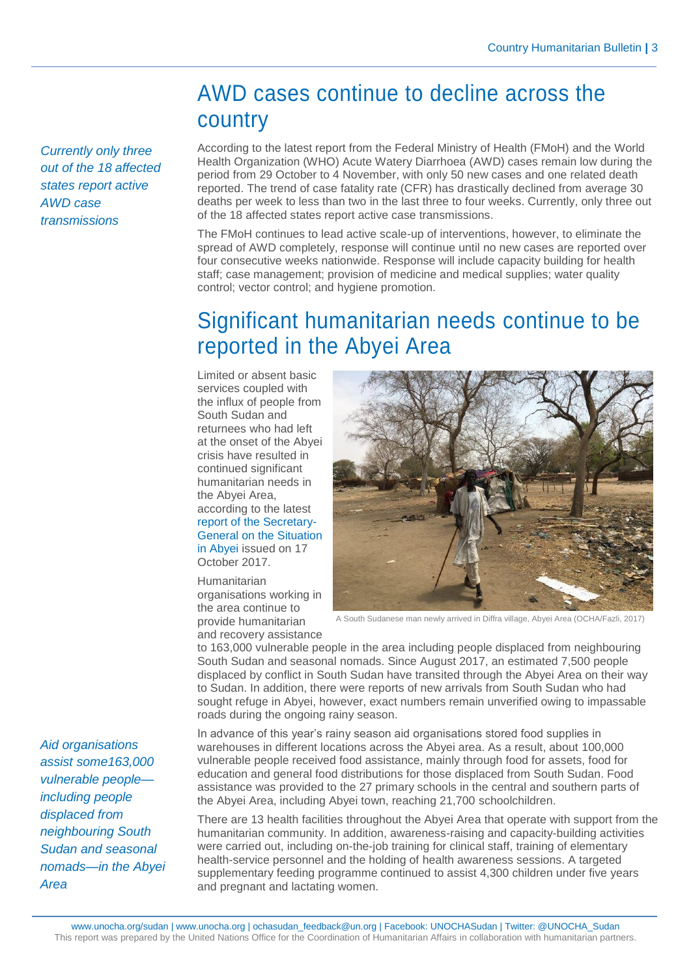### AWD cases continue to decline across the country

*Currently only three out of the 18 affected states report active AWD case transmissions*

According to the latest report from the Federal Ministry of Health (FMoH) and the World Health Organization (WHO) Acute Watery Diarrhoea (AWD) cases remain low during the period from 29 October to 4 November, with only 50 new cases and one related death reported. The trend of case fatality rate (CFR) has drastically declined from average 30 deaths per week to less than two in the last three to four weeks. Currently, only three out of the 18 affected states report active case transmissions.

The FMoH continues to lead active scale-up of interventions, however, to eliminate the spread of AWD completely, response will continue until no new cases are reported over four consecutive weeks nationwide. Response will include capacity building for health staff; case management; provision of medicine and medical supplies; water quality control; vector control; and hygiene promotion.

# Significant humanitarian needs continue to be reported in the Abyei Area

Limited or absent basic services coupled with the influx of people from South Sudan and returnees who had left at the onset of the Abyei crisis have resulted in continued significant humanitarian needs in the Abyei Area, according to the latest [report of the Secretary-](https://reliefweb.int/sites/reliefweb.int/files/resources/N1731989.pdf)[General on the Situation](https://reliefweb.int/sites/reliefweb.int/files/resources/N1731989.pdf)  [in Abyei](https://reliefweb.int/sites/reliefweb.int/files/resources/N1731989.pdf) issued on 17 October 2017.

Humanitarian organisations working in the area continue to provide humanitarian and recovery assistance



A South Sudanese man newly arrived in Diffra village, Abyei Area (OCHA/Fazli, 2017)

to 163,000 vulnerable people in the area including people displaced from neighbouring South Sudan and seasonal nomads. Since August 2017, an estimated 7,500 people displaced by conflict in South Sudan have transited through the Abyei Area on their way to Sudan. In addition, there were reports of new arrivals from South Sudan who had sought refuge in Abyei, however, exact numbers remain unverified owing to impassable roads during the ongoing rainy season.

In advance of this year's rainy season aid organisations stored food supplies in warehouses in different locations across the Abyei area. As a result, about 100,000 vulnerable people received food assistance, mainly through food for assets, food for education and general food distributions for those displaced from South Sudan. Food assistance was provided to the 27 primary schools in the central and southern parts of the Abyei Area, including Abyei town, reaching 21,700 schoolchildren.

There are 13 health facilities throughout the Abyei Area that operate with support from the humanitarian community. In addition, awareness-raising and capacity-building activities were carried out, including on-the-job training for clinical staff, training of elementary health-service personnel and the holding of health awareness sessions. A targeted supplementary feeding programme continued to assist 4,300 children under five years and pregnant and lactating women.

*Aid organisations assist some163,000 vulnerable people including people displaced from neighbouring South Sudan and seasonal nomads—in the Abyei Area*